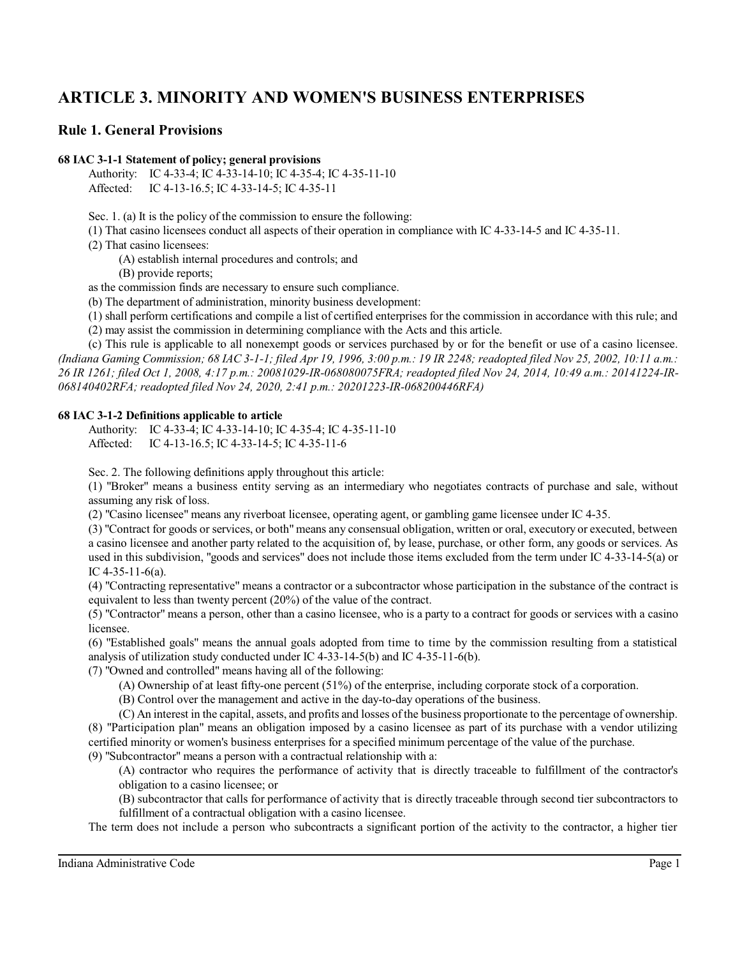# **ARTICLE 3. MINORITY AND WOMEN'S BUSINESS ENTERPRISES**

# **Rule 1. General Provisions**

#### **68 IAC 3-1-1 Statement of policy; general provisions**

Authority: IC 4-33-4; IC 4-33-14-10; IC 4-35-4; IC 4-35-11-10 Affected: IC 4-13-16.5; IC 4-33-14-5; IC 4-35-11

Sec. 1. (a) It is the policy of the commission to ensure the following:

(1) That casino licensees conduct all aspects of their operation in compliance with IC 4-33-14-5 and IC 4-35-11.

(2) That casino licensees:

(A) establish internal procedures and controls; and

(B) provide reports;

as the commission finds are necessary to ensure such compliance.

(b) The department of administration, minority business development:

(1) shall perform certifications and compile a list of certified enterprises for the commission in accordance with this rule; and (2) may assist the commission in determining compliance with the Acts and this article.

(c) This rule is applicable to all nonexempt goods or services purchased by or for the benefit or use of a casino licensee. *(Indiana Gaming Commission; 68 IAC 3-1-1; filed Apr 19, 1996, 3:00 p.m.: 19 IR 2248; readopted filed Nov 25, 2002, 10:11 a.m.: 26 IR 1261; filed Oct 1, 2008, 4:17 p.m.: 20081029-IR-068080075FRA; readopted filed Nov 24, 2014, 10:49 a.m.: 20141224-IR-068140402RFA; readopted filed Nov 24, 2020, 2:41 p.m.: 20201223-IR-068200446RFA)*

#### **68 IAC 3-1-2 Definitions applicable to article**

Authority: IC 4-33-4; IC 4-33-14-10; IC 4-35-4; IC 4-35-11-10 Affected: IC 4-13-16.5; IC 4-33-14-5; IC 4-35-11-6

Sec. 2. The following definitions apply throughout this article:

(1) "Broker" means a business entity serving as an intermediary who negotiates contracts of purchase and sale, without assuming any risk of loss.

(2) "Casino licensee" means any riverboat licensee, operating agent, or gambling game licensee under IC 4-35.

(3) "Contract for goods or services, or both" means any consensual obligation, written or oral, executory or executed, between a casino licensee and another party related to the acquisition of, by lease, purchase, or other form, any goods or services. As used in this subdivision, "goods and services" does not include those items excluded from the term under IC 4-33-14-5(a) or IC 4-35-11-6(a).

(4) "Contracting representative" means a contractor or a subcontractor whose participation in the substance of the contract is equivalent to less than twenty percent (20%) of the value of the contract.

(5) "Contractor" means a person, other than a casino licensee, who is a party to a contract for goods or services with a casino licensee.

(6) "Established goals" means the annual goals adopted from time to time by the commission resulting from a statistical analysis of utilization study conducted under IC 4-33-14-5(b) and IC 4-35-11-6(b).

(7) "Owned and controlled" means having all of the following:

- (A) Ownership of at least fifty-one percent (51%) of the enterprise, including corporate stock of a corporation.
- (B) Control over the management and active in the day-to-day operations of the business.

(C) An interest in the capital, assets, and profits and losses of the business proportionate to the percentage of ownership. (8) "Participation plan" means an obligation imposed by a casino licensee as part of its purchase with a vendor utilizing certified minority or women's business enterprises for a specified minimum percentage of the value of the purchase. (9) "Subcontractor" means a person with a contractual relationship with a:

(A) contractor who requires the performance of activity that is directly traceable to fulfillment of the contractor's obligation to a casino licensee; or

(B) subcontractor that calls for performance of activity that is directly traceable through second tier subcontractors to fulfillment of a contractual obligation with a casino licensee.

The term does not include a person who subcontracts a significant portion of the activity to the contractor, a higher tier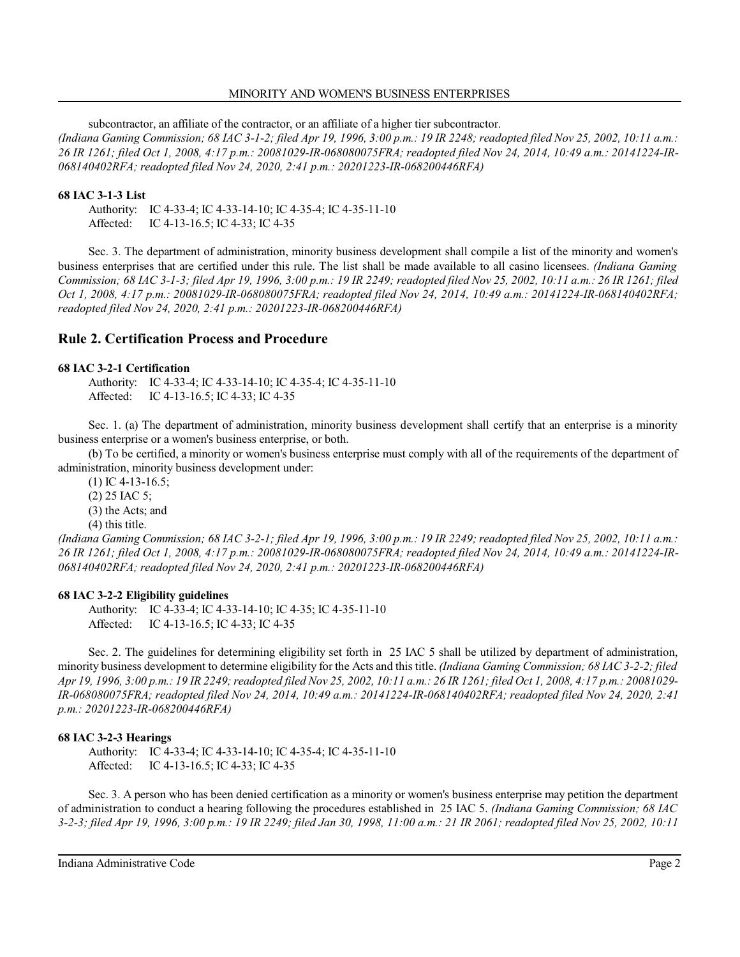#### MINORITY AND WOMEN'S BUSINESS ENTERPRISES

subcontractor, an affiliate of the contractor, or an affiliate of a higher tier subcontractor. *(Indiana Gaming Commission; 68 IAC 3-1-2; filed Apr 19, 1996, 3:00 p.m.: 19 IR 2248; readopted filed Nov 25, 2002, 10:11 a.m.: 26 IR 1261; filed Oct 1, 2008, 4:17 p.m.: 20081029-IR-068080075FRA; readopted filed Nov 24, 2014, 10:49 a.m.: 20141224-IR-068140402RFA; readopted filed Nov 24, 2020, 2:41 p.m.: 20201223-IR-068200446RFA)*

## **68 IAC 3-1-3 List**

Authority: IC 4-33-4; IC 4-33-14-10; IC 4-35-4; IC 4-35-11-10 Affected: IC 4-13-16.5; IC 4-33; IC 4-35

Sec. 3. The department of administration, minority business development shall compile a list of the minority and women's business enterprises that are certified under this rule. The list shall be made available to all casino licensees. *(Indiana Gaming Commission; 68 IAC 3-1-3; filed Apr 19, 1996, 3:00 p.m.: 19 IR 2249; readopted filed Nov 25, 2002, 10:11 a.m.: 26 IR 1261; filed Oct 1, 2008, 4:17 p.m.: 20081029-IR-068080075FRA; readopted filed Nov 24, 2014, 10:49 a.m.: 20141224-IR-068140402RFA; readopted filed Nov 24, 2020, 2:41 p.m.: 20201223-IR-068200446RFA)*

# **Rule 2. Certification Process and Procedure**

## **68 IAC 3-2-1 Certification**

Authority: IC 4-33-4; IC 4-33-14-10; IC 4-35-4; IC 4-35-11-10 Affected: IC 4-13-16.5; IC 4-33; IC 4-35

Sec. 1. (a) The department of administration, minority business development shall certify that an enterprise is a minority business enterprise or a women's business enterprise, or both.

(b) To be certified, a minority or women's business enterprise must comply with all of the requirements of the department of administration, minority business development under:

(1) IC 4-13-16.5; (2) 25 IAC 5; (3) the Acts; and (4) this title.

*(Indiana Gaming Commission; 68 IAC 3-2-1; filed Apr 19, 1996, 3:00 p.m.: 19 IR 2249; readopted filed Nov 25, 2002, 10:11 a.m.: 26 IR 1261; filed Oct 1, 2008, 4:17 p.m.: 20081029-IR-068080075FRA; readopted filed Nov 24, 2014, 10:49 a.m.: 20141224-IR-068140402RFA; readopted filed Nov 24, 2020, 2:41 p.m.: 20201223-IR-068200446RFA)*

### **68 IAC 3-2-2 Eligibility guidelines**

Authority: IC 4-33-4; IC 4-33-14-10; IC 4-35; IC 4-35-11-10 Affected: IC 4-13-16.5; IC 4-33; IC 4-35

Sec. 2. The guidelines for determining eligibility set forth in 25 IAC 5 shall be utilized by department of administration, minority business development to determine eligibility for the Acts and thistitle. *(Indiana Gaming Commission; 68 IAC 3-2-2; filed Apr 19, 1996, 3:00 p.m.: 19 IR 2249;readopted filed Nov 25, 2002, 10:11 a.m.: 26 IR 1261; filed Oct 1, 2008, 4:17 p.m.: 20081029- IR-068080075FRA; readopted filed Nov 24, 2014, 10:49 a.m.: 20141224-IR-068140402RFA; readopted filed Nov 24, 2020, 2:41 p.m.: 20201223-IR-068200446RFA)*

# **68 IAC 3-2-3 Hearings**

Authority: IC 4-33-4; IC 4-33-14-10; IC 4-35-4; IC 4-35-11-10 Affected: IC 4-13-16.5; IC 4-33; IC 4-35

Sec. 3. A person who has been denied certification as a minority or women's business enterprise may petition the department of administration to conduct a hearing following the procedures established in 25 IAC 5. *(Indiana Gaming Commission; 68 IAC 3-2-3; filed Apr 19, 1996, 3:00 p.m.: 19 IR 2249; filed Jan 30, 1998, 11:00 a.m.: 21 IR 2061; readopted filed Nov 25, 2002, 10:11*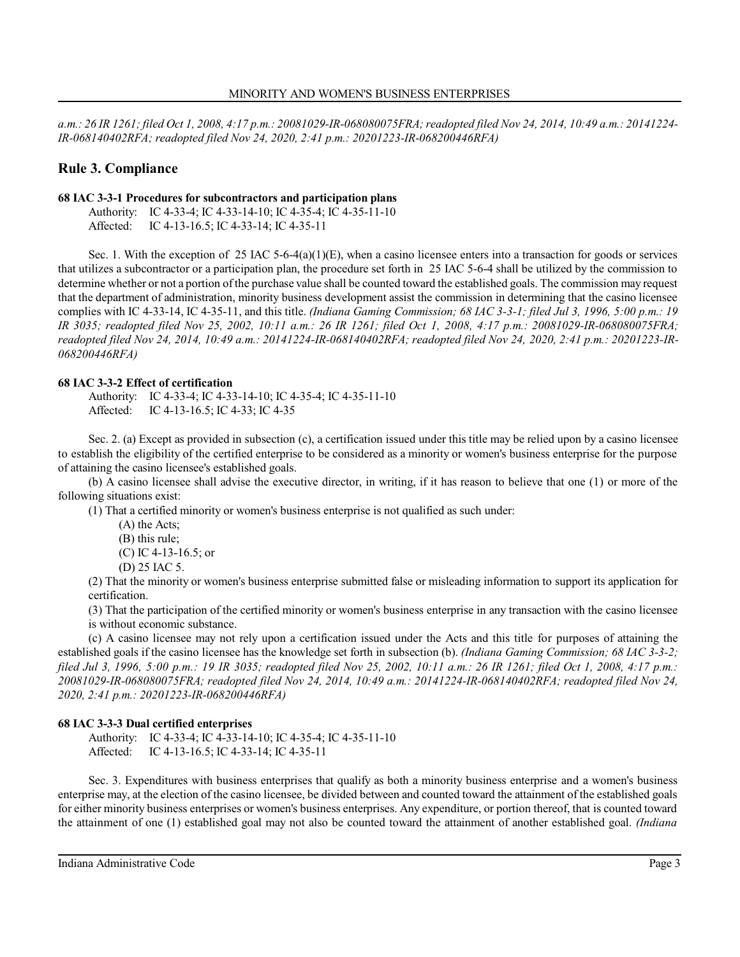*a.m.: 26 IR 1261; filed Oct 1, 2008, 4:17 p.m.: 20081029-IR-068080075FRA;readopted filed Nov 24, 2014, 10:49 a.m.: 20141224- IR-068140402RFA; readopted filed Nov 24, 2020, 2:41 p.m.: 20201223-IR-068200446RFA)*

# **Rule 3. Compliance**

## **68 IAC 3-3-1 Procedures for subcontractors and participation plans**

Authority: IC 4-33-4; IC 4-33-14-10; IC 4-35-4; IC 4-35-11-10

Affected: IC 4-13-16.5; IC 4-33-14; IC 4-35-11

Sec. 1. With the exception of 25 IAC 5-6-4(a)(1)(E), when a casino licensee enters into a transaction for goods or services that utilizes a subcontractor or a participation plan, the procedure set forth in 25 IAC 5-6-4 shall be utilized by the commission to determine whether or not a portion of the purchase value shall be counted toward the established goals. The commission may request that the department of administration, minority business development assist the commission in determining that the casino licensee complies with IC 4-33-14, IC 4-35-11, and this title. *(Indiana Gaming Commission; 68 IAC 3-3-1; filed Jul 3, 1996, 5:00 p.m.: 19 IR 3035; readopted filed Nov 25, 2002, 10:11 a.m.: 26 IR 1261; filed Oct 1, 2008, 4:17 p.m.: 20081029-IR-068080075FRA; readopted filed Nov 24, 2014, 10:49 a.m.: 20141224-IR-068140402RFA; readopted filed Nov 24, 2020, 2:41 p.m.: 20201223-IR-068200446RFA)*

## **68 IAC 3-3-2 Effect of certification**

Authority: IC 4-33-4; IC 4-33-14-10; IC 4-35-4; IC 4-35-11-10 Affected: IC 4-13-16.5; IC 4-33; IC 4-35

Sec. 2. (a) Except as provided in subsection (c), a certification issued under this title may be relied upon by a casino licensee to establish the eligibility of the certified enterprise to be considered as a minority or women's business enterprise for the purpose of attaining the casino licensee's established goals.

(b) A casino licensee shall advise the executive director, in writing, if it has reason to believe that one (1) or more of the following situations exist:

(1) That a certified minority or women's business enterprise is not qualified as such under:

- (A) the Acts;
- (B) this rule;
- (C) IC 4-13-16.5; or
- (D) 25 IAC 5.

(2) That the minority or women's business enterprise submitted false or misleading information to support its application for certification.

(3) That the participation of the certified minority or women's business enterprise in any transaction with the casino licensee is without economic substance.

(c) A casino licensee may not rely upon a certification issued under the Acts and this title for purposes of attaining the established goals if the casino licensee has the knowledge set forth in subsection (b). *(Indiana Gaming Commission; 68 IAC 3-3-2; filed Jul 3, 1996, 5:00 p.m.: 19 IR 3035; readopted filed Nov 25, 2002, 10:11 a.m.: 26 IR 1261; filed Oct 1, 2008, 4:17 p.m.: 20081029-IR-068080075FRA; readopted filed Nov 24, 2014, 10:49 a.m.: 20141224-IR-068140402RFA; readopted filed Nov 24, 2020, 2:41 p.m.: 20201223-IR-068200446RFA)*

# **68 IAC 3-3-3 Dual certified enterprises**

Authority: IC 4-33-4; IC 4-33-14-10; IC 4-35-4; IC 4-35-11-10 Affected: IC 4-13-16.5; IC 4-33-14; IC 4-35-11

Sec. 3. Expenditures with business enterprises that qualify as both a minority business enterprise and a women's business enterprise may, at the election of the casino licensee, be divided between and counted toward the attainment of the established goals for either minority business enterprises or women's business enterprises. Any expenditure, or portion thereof, that is counted toward the attainment of one (1) established goal may not also be counted toward the attainment of another established goal. *(Indiana*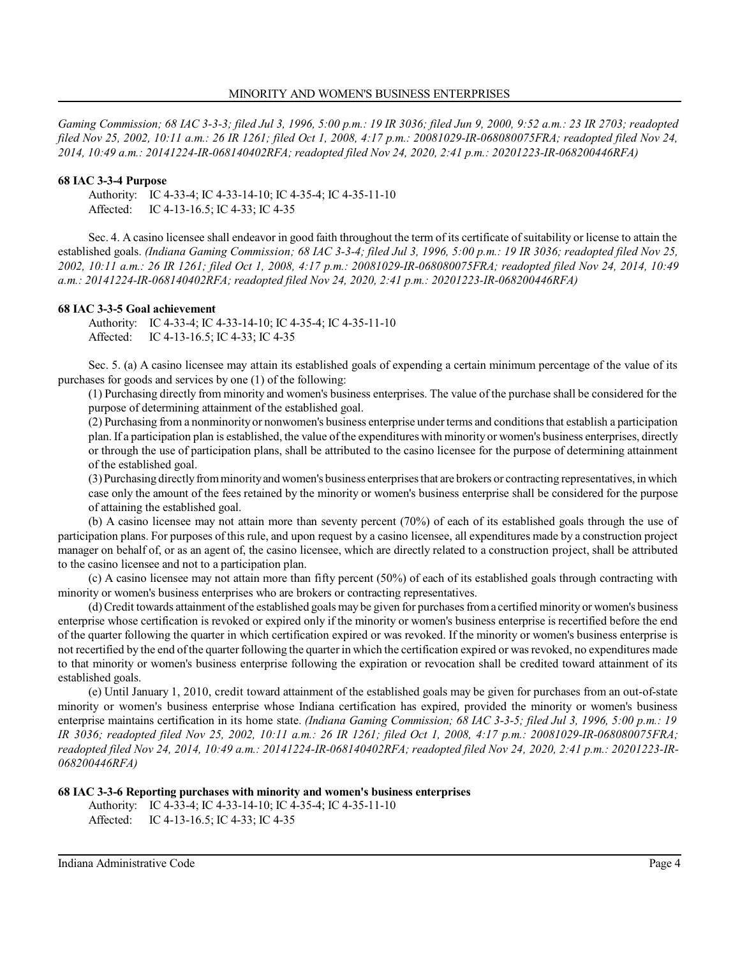*Gaming Commission; 68 IAC 3-3-3; filed Jul 3, 1996, 5:00 p.m.: 19 IR 3036; filed Jun 9, 2000, 9:52 a.m.: 23 IR 2703; readopted filed Nov 25, 2002, 10:11 a.m.: 26 IR 1261; filed Oct 1, 2008, 4:17 p.m.: 20081029-IR-068080075FRA; readopted filed Nov 24, 2014, 10:49 a.m.: 20141224-IR-068140402RFA; readopted filed Nov 24, 2020, 2:41 p.m.: 20201223-IR-068200446RFA)*

#### **68 IAC 3-3-4 Purpose**

Authority: IC 4-33-4; IC 4-33-14-10; IC 4-35-4; IC 4-35-11-10 Affected: IC 4-13-16.5; IC 4-33; IC 4-35

Sec. 4. A casino licensee shall endeavor in good faith throughout the term of its certificate of suitability or license to attain the established goals. *(Indiana Gaming Commission; 68 IAC 3-3-4; filed Jul 3, 1996, 5:00 p.m.: 19 IR 3036; readopted filed Nov 25, 2002, 10:11 a.m.: 26 IR 1261; filed Oct 1, 2008, 4:17 p.m.: 20081029-IR-068080075FRA; readopted filed Nov 24, 2014, 10:49 a.m.: 20141224-IR-068140402RFA; readopted filed Nov 24, 2020, 2:41 p.m.: 20201223-IR-068200446RFA)*

#### **68 IAC 3-3-5 Goal achievement**

Authority: IC 4-33-4; IC 4-33-14-10; IC 4-35-4; IC 4-35-11-10 Affected: IC 4-13-16.5; IC 4-33; IC 4-35

Sec. 5. (a) A casino licensee may attain its established goals of expending a certain minimum percentage of the value of its purchases for goods and services by one (1) of the following:

(1) Purchasing directly from minority and women's business enterprises. The value of the purchase shall be considered for the purpose of determining attainment of the established goal.

(2) Purchasing from a nonminority or nonwomen's business enterprise underterms and conditionsthat establish a participation plan. If a participation plan is established, the value of the expenditures with minority or women's business enterprises, directly or through the use of participation plans, shall be attributed to the casino licensee for the purpose of determining attainment of the established goal.

(3)Purchasing directlyfromminorityand women's business enterprisesthat are brokers or contracting representatives, in which case only the amount of the fees retained by the minority or women's business enterprise shall be considered for the purpose of attaining the established goal.

(b) A casino licensee may not attain more than seventy percent (70%) of each of its established goals through the use of participation plans. For purposes of this rule, and upon request by a casino licensee, all expenditures made by a construction project manager on behalf of, or as an agent of, the casino licensee, which are directly related to a construction project, shall be attributed to the casino licensee and not to a participation plan.

(c) A casino licensee may not attain more than fifty percent (50%) of each of its established goals through contracting with minority or women's business enterprises who are brokers or contracting representatives.

(d)Credit towards attainment ofthe established goals may be given for purchases froma certified minority or women's business enterprise whose certification is revoked or expired only if the minority or women's business enterprise is recertified before the end of the quarter following the quarter in which certification expired or was revoked. If the minority or women's business enterprise is not recertified by the end of the quarter following the quarter in which the certification expired or was revoked, no expenditures made to that minority or women's business enterprise following the expiration or revocation shall be credited toward attainment of its established goals.

(e) Until January 1, 2010, credit toward attainment of the established goals may be given for purchases from an out-of-state minority or women's business enterprise whose Indiana certification has expired, provided the minority or women's business enterprise maintains certification in its home state. *(Indiana Gaming Commission; 68 IAC 3-3-5; filed Jul 3, 1996, 5:00 p.m.: 19 IR 3036; readopted filed Nov 25, 2002, 10:11 a.m.: 26 IR 1261; filed Oct 1, 2008, 4:17 p.m.: 20081029-IR-068080075FRA; readopted filed Nov 24, 2014, 10:49 a.m.: 20141224-IR-068140402RFA; readopted filed Nov 24, 2020, 2:41 p.m.: 20201223-IR-068200446RFA)*

**68 IAC 3-3-6 Reporting purchases with minority and women's business enterprises**

Authority: IC 4-33-4; IC 4-33-14-10; IC 4-35-4; IC 4-35-11-10 Affected: IC 4-13-16.5; IC 4-33; IC 4-35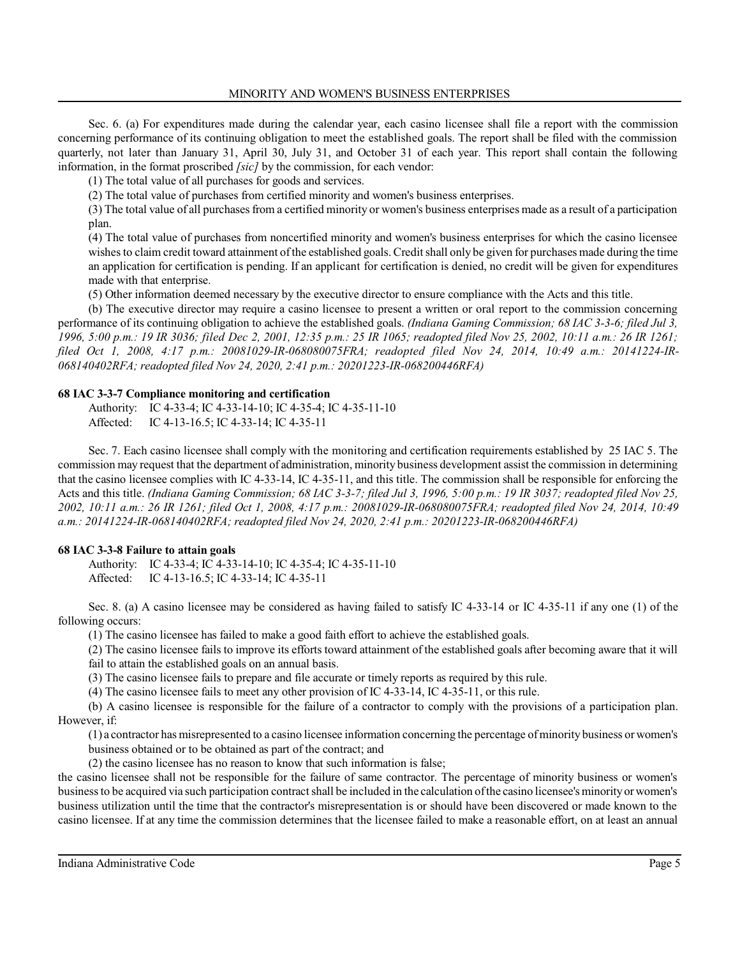Sec. 6. (a) For expenditures made during the calendar year, each casino licensee shall file a report with the commission concerning performance of its continuing obligation to meet the established goals. The report shall be filed with the commission quarterly, not later than January 31, April 30, July 31, and October 31 of each year. This report shall contain the following information, in the format proscribed *[sic]* by the commission, for each vendor:

(1) The total value of all purchases for goods and services.

(2) The total value of purchases from certified minority and women's business enterprises.

(3) The total value of all purchases from a certified minority or women's business enterprises made as a result of a participation plan.

(4) The total value of purchases from noncertified minority and women's business enterprises for which the casino licensee wishesto claim credit toward attainment ofthe established goals. Credit shall only be given for purchases made during the time an application for certification is pending. If an applicant for certification is denied, no credit will be given for expenditures made with that enterprise.

(5) Other information deemed necessary by the executive director to ensure compliance with the Acts and this title.

(b) The executive director may require a casino licensee to present a written or oral report to the commission concerning performance of its continuing obligation to achieve the established goals. *(Indiana Gaming Commission; 68 IAC 3-3-6; filed Jul 3, 1996, 5:00 p.m.: 19 IR 3036; filed Dec 2, 2001, 12:35 p.m.: 25 IR 1065; readopted filed Nov 25, 2002, 10:11 a.m.: 26 IR 1261; filed Oct 1, 2008, 4:17 p.m.: 20081029-IR-068080075FRA; readopted filed Nov 24, 2014, 10:49 a.m.: 20141224-IR-068140402RFA; readopted filed Nov 24, 2020, 2:41 p.m.: 20201223-IR-068200446RFA)*

#### **68 IAC 3-3-7 Compliance monitoring and certification**

Authority: IC 4-33-4; IC 4-33-14-10; IC 4-35-4; IC 4-35-11-10 Affected: IC 4-13-16.5; IC 4-33-14; IC 4-35-11

Sec. 7. Each casino licensee shall comply with the monitoring and certification requirements established by 25 IAC 5. The commission may request that the department of administration, minority business development assist the commission in determining that the casino licensee complies with IC 4-33-14, IC 4-35-11, and this title. The commission shall be responsible for enforcing the Acts and this title. *(Indiana Gaming Commission; 68 IAC 3-3-7; filed Jul 3, 1996, 5:00 p.m.: 19 IR 3037; readopted filed Nov 25, 2002, 10:11 a.m.: 26 IR 1261; filed Oct 1, 2008, 4:17 p.m.: 20081029-IR-068080075FRA; readopted filed Nov 24, 2014, 10:49 a.m.: 20141224-IR-068140402RFA; readopted filed Nov 24, 2020, 2:41 p.m.: 20201223-IR-068200446RFA)*

#### **68 IAC 3-3-8 Failure to attain goals**

Authority: IC 4-33-4; IC 4-33-14-10; IC 4-35-4; IC 4-35-11-10 Affected: IC 4-13-16.5; IC 4-33-14; IC 4-35-11

Sec. 8. (a) A casino licensee may be considered as having failed to satisfy IC 4-33-14 or IC 4-35-11 if any one (1) of the following occurs:

(1) The casino licensee has failed to make a good faith effort to achieve the established goals.

(2) The casino licensee fails to improve its efforts toward attainment of the established goals after becoming aware that it will fail to attain the established goals on an annual basis.

(3) The casino licensee fails to prepare and file accurate or timely reports as required by this rule.

(4) The casino licensee fails to meet any other provision of IC 4-33-14, IC 4-35-11, or this rule.

(b) A casino licensee is responsible for the failure of a contractor to comply with the provisions of a participation plan. However, if:

(1) a contractor has misrepresented to a casino licensee information concerning the percentage ofminority business orwomen's business obtained or to be obtained as part of the contract; and

(2) the casino licensee has no reason to know that such information is false;

the casino licensee shall not be responsible for the failure of same contractor. The percentage of minority business or women's business to be acquired via such participation contract shall be included in the calculation ofthe casino licensee's minorityorwomen's business utilization until the time that the contractor's misrepresentation is or should have been discovered or made known to the casino licensee. If at any time the commission determines that the licensee failed to make a reasonable effort, on at least an annual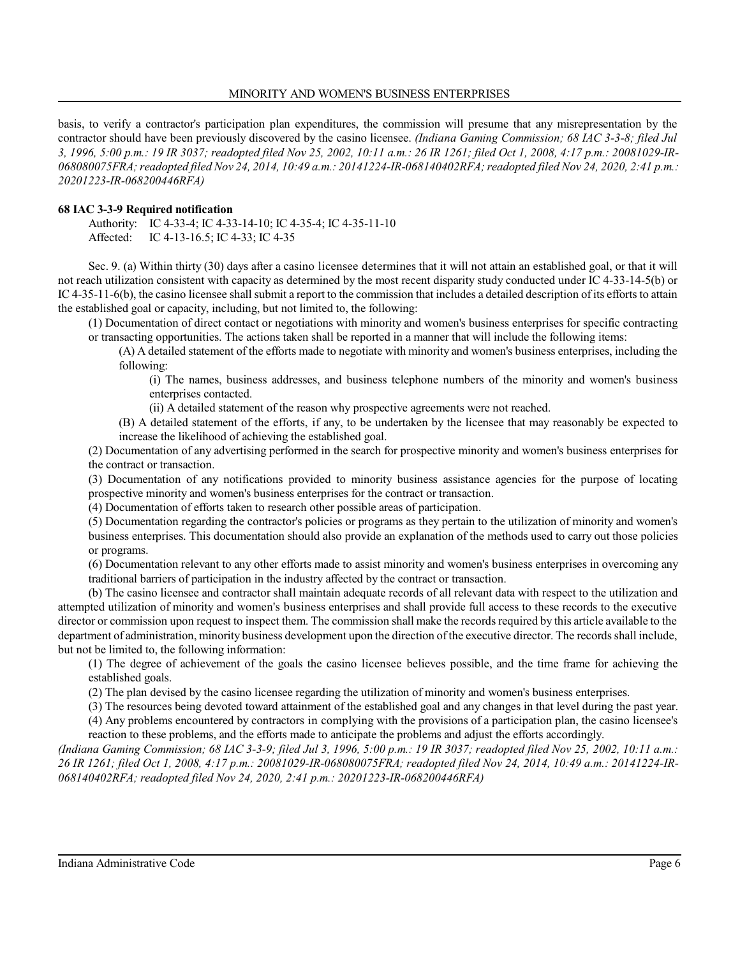#### MINORITY AND WOMEN'S BUSINESS ENTERPRISES

basis, to verify a contractor's participation plan expenditures, the commission will presume that any misrepresentation by the contractor should have been previously discovered by the casino licensee. *(Indiana Gaming Commission; 68 IAC 3-3-8; filed Jul 3, 1996, 5:00 p.m.: 19 IR 3037; readopted filed Nov 25, 2002, 10:11 a.m.: 26 IR 1261; filed Oct 1, 2008, 4:17 p.m.: 20081029-IR-068080075FRA;readopted filed Nov 24, 2014, 10:49 a.m.: 20141224-IR-068140402RFA;readopted filed Nov 24, 2020, 2:41 p.m.: 20201223-IR-068200446RFA)*

#### **68 IAC 3-3-9 Required notification**

Authority: IC 4-33-4; IC 4-33-14-10; IC 4-35-4; IC 4-35-11-10 Affected: IC 4-13-16.5; IC 4-33; IC 4-35

Sec. 9. (a) Within thirty (30) days after a casino licensee determines that it will not attain an established goal, or that it will not reach utilization consistent with capacity as determined by the most recent disparity study conducted under IC 4-33-14-5(b) or IC 4-35-11-6(b), the casino licensee shall submit a report to the commission that includes a detailed description of its efforts to attain the established goal or capacity, including, but not limited to, the following:

(1) Documentation of direct contact or negotiations with minority and women's business enterprises for specific contracting or transacting opportunities. The actions taken shall be reported in a manner that will include the following items:

(A) A detailed statement of the efforts made to negotiate with minority and women's business enterprises, including the following:

(i) The names, business addresses, and business telephone numbers of the minority and women's business enterprises contacted.

(ii) A detailed statement of the reason why prospective agreements were not reached.

(B) A detailed statement of the efforts, if any, to be undertaken by the licensee that may reasonably be expected to increase the likelihood of achieving the established goal.

(2) Documentation of any advertising performed in the search for prospective minority and women's business enterprises for the contract or transaction.

(3) Documentation of any notifications provided to minority business assistance agencies for the purpose of locating prospective minority and women's business enterprises for the contract or transaction.

(4) Documentation of efforts taken to research other possible areas of participation.

(5) Documentation regarding the contractor's policies or programs as they pertain to the utilization of minority and women's business enterprises. This documentation should also provide an explanation of the methods used to carry out those policies or programs.

(6) Documentation relevant to any other efforts made to assist minority and women's business enterprises in overcoming any traditional barriers of participation in the industry affected by the contract or transaction.

(b) The casino licensee and contractor shall maintain adequate records of all relevant data with respect to the utilization and attempted utilization of minority and women's business enterprises and shall provide full access to these records to the executive director or commission upon request to inspect them. The commission shall make the records required by this article available to the department of administration, minority business development upon the direction ofthe executive director. The records shall include, but not be limited to, the following information:

(1) The degree of achievement of the goals the casino licensee believes possible, and the time frame for achieving the established goals.

(2) The plan devised by the casino licensee regarding the utilization of minority and women's business enterprises.

(3) The resources being devoted toward attainment of the established goal and any changes in that level during the past year.

(4) Any problems encountered by contractors in complying with the provisions of a participation plan, the casino licensee's

reaction to these problems, and the efforts made to anticipate the problems and adjust the efforts accordingly. *(Indiana Gaming Commission; 68 IAC 3-3-9; filed Jul 3, 1996, 5:00 p.m.: 19 IR 3037; readopted filed Nov 25, 2002, 10:11 a.m.: 26 IR 1261; filed Oct 1, 2008, 4:17 p.m.: 20081029-IR-068080075FRA; readopted filed Nov 24, 2014, 10:49 a.m.: 20141224-IR-068140402RFA; readopted filed Nov 24, 2020, 2:41 p.m.: 20201223-IR-068200446RFA)*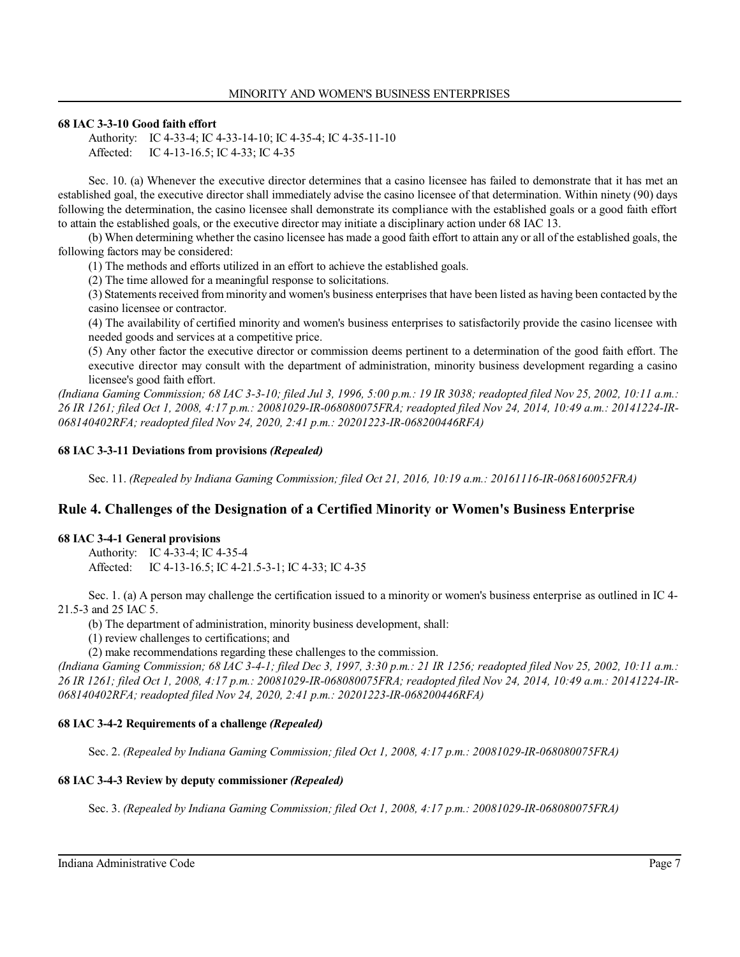### **68 IAC 3-3-10 Good faith effort**

Authority: IC 4-33-4; IC 4-33-14-10; IC 4-35-4; IC 4-35-11-10 Affected: IC 4-13-16.5; IC 4-33; IC 4-35

Sec. 10. (a) Whenever the executive director determines that a casino licensee has failed to demonstrate that it has met an established goal, the executive director shall immediately advise the casino licensee of that determination. Within ninety (90) days following the determination, the casino licensee shall demonstrate its compliance with the established goals or a good faith effort to attain the established goals, or the executive director may initiate a disciplinary action under 68 IAC 13.

(b) When determining whether the casino licensee has made a good faith effort to attain any or all of the established goals, the following factors may be considered:

(1) The methods and efforts utilized in an effort to achieve the established goals.

(2) The time allowed for a meaningful response to solicitations.

(3) Statements received from minority and women's business enterprises that have been listed as having been contacted by the casino licensee or contractor.

(4) The availability of certified minority and women's business enterprises to satisfactorily provide the casino licensee with needed goods and services at a competitive price.

(5) Any other factor the executive director or commission deems pertinent to a determination of the good faith effort. The executive director may consult with the department of administration, minority business development regarding a casino licensee's good faith effort.

*(Indiana Gaming Commission; 68 IAC 3-3-10; filed Jul 3, 1996, 5:00 p.m.: 19 IR 3038; readopted filed Nov 25, 2002, 10:11 a.m.: 26 IR 1261; filed Oct 1, 2008, 4:17 p.m.: 20081029-IR-068080075FRA; readopted filed Nov 24, 2014, 10:49 a.m.: 20141224-IR-068140402RFA; readopted filed Nov 24, 2020, 2:41 p.m.: 20201223-IR-068200446RFA)*

## **68 IAC 3-3-11 Deviations from provisions** *(Repealed)*

Sec. 11. *(Repealed by Indiana Gaming Commission; filed Oct 21, 2016, 10:19 a.m.: 20161116-IR-068160052FRA)*

# **Rule 4. Challenges of the Designation of a Certified Minority or Women's Business Enterprise**

### **68 IAC 3-4-1 General provisions**

Authority: IC 4-33-4; IC 4-35-4 Affected: IC 4-13-16.5; IC 4-21.5-3-1; IC 4-33; IC 4-35

Sec. 1. (a) A person may challenge the certification issued to a minority or women's business enterprise as outlined in IC 4- 21.5-3 and 25 IAC 5.

(b) The department of administration, minority business development, shall:

(1) review challenges to certifications; and

(2) make recommendations regarding these challenges to the commission.

*(Indiana Gaming Commission; 68 IAC 3-4-1; filed Dec 3, 1997, 3:30 p.m.: 21 IR 1256; readopted filed Nov 25, 2002, 10:11 a.m.: 26 IR 1261; filed Oct 1, 2008, 4:17 p.m.: 20081029-IR-068080075FRA; readopted filed Nov 24, 2014, 10:49 a.m.: 20141224-IR-068140402RFA; readopted filed Nov 24, 2020, 2:41 p.m.: 20201223-IR-068200446RFA)*

# **68 IAC 3-4-2 Requirements of a challenge** *(Repealed)*

Sec. 2. *(Repealed by Indiana Gaming Commission; filed Oct 1, 2008, 4:17 p.m.: 20081029-IR-068080075FRA)*

# **68 IAC 3-4-3 Review by deputy commissioner** *(Repealed)*

Sec. 3. *(Repealed by Indiana Gaming Commission; filed Oct 1, 2008, 4:17 p.m.: 20081029-IR-068080075FRA)*